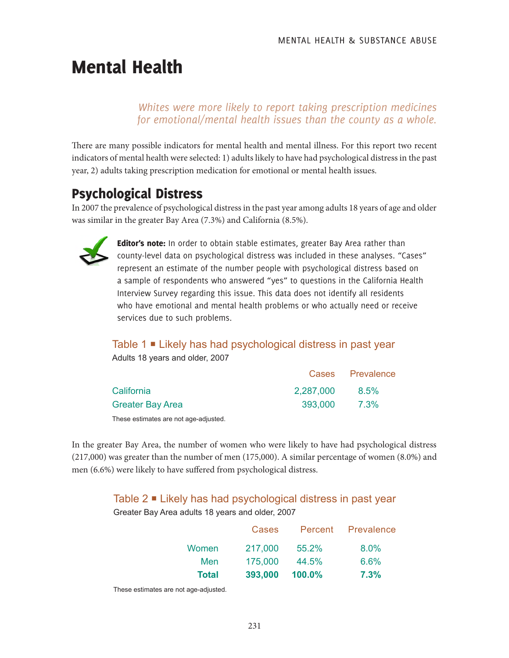# Mental Health

*Whites were more likely to report taking prescription medicines for emotional/mental health issues than the county as a whole.*

There are many possible indicators for mental health and mental illness. For this report two recent indicators of mental health were selected: 1) adults likely to have had psychological distress in the past year, 2) adults taking prescription medication for emotional or mental health issues.

# Psychological Distress

In 2007 the prevalence of psychological distress in the past year among adults 18 years of age and older was similar in the greater Bay Area (7.3%) and California (8.5%).



Editor's note: In order to obtain stable estimates, greater Bay Area rather than county-level data on psychological distress was included in these analyses. "Cases" represent an estimate of the number people with psychological distress based on a sample of respondents who answered "yes" to questions in the California Health Interview Survey regarding this issue. This data does not identify all residents who have emotional and mental health problems or who actually need or receive services due to such problems.

### Table 1 **■** Likely has had psychological distress in past year

Adults 18 years and older, 2007

|                  |           | Cases Prevalence |
|------------------|-----------|------------------|
| California       | 2,287,000 | 8.5%             |
| Greater Bay Area | 393.000   | 7.3%             |

These estimates are not age-adjusted.

In the greater Bay Area, the number of women who were likely to have had psychological distress (217,000) was greater than the number of men (175,000). A similar percentage of women (8.0%) and men (6.6%) were likely to have suffered from psychological distress.

### Table 2 ■ Likely has had psychological distress in past year

Greater Bay Area adults 18 years and older, 2007

|              | <b>Cases</b> |           | Percent Prevalence |
|--------------|--------------|-----------|--------------------|
| Women        | 217,000      | 55.2%     | 8.0%               |
| Men          | 175,000      | 44.5%     | 6.6%               |
| <b>Total</b> | 393,000      | $100.0\%$ | 7.3%               |

These estimates are not age-adjusted.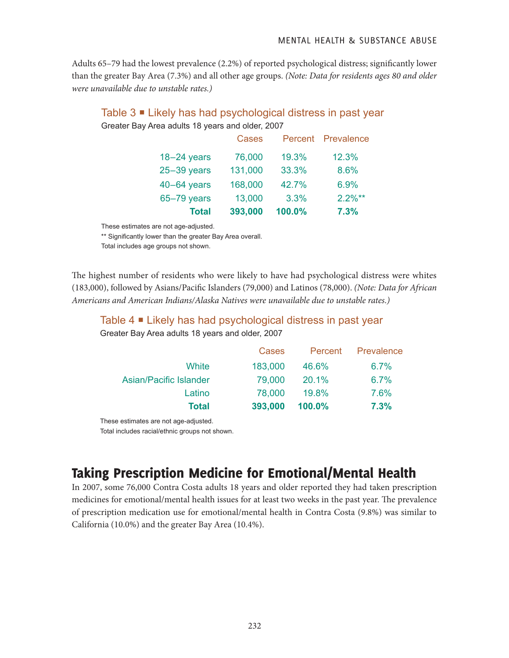Adults 65–79 had the lowest prevalence (2.2%) of reported psychological distress; significantly lower than the greater Bay Area (7.3%) and all other age groups. *(Note: Data for residents ages 80 and older were unavailable due to unstable rates.)*

#### Table 3 ■ Likely has had psychological distress in past year Greater Bay Area adults 18 years and older, 2007

| <b>Total</b>    | 393,000      | 100.0% | 7.3%               |
|-----------------|--------------|--------|--------------------|
| $65-79$ years   | 13,000       | 3.3%   | $2.2\%**$          |
| $40-64$ years   | 168,000      | 42.7%  | 6.9%               |
| $25 - 39$ years | 131,000      | 33.3%  | 8.6%               |
| $18 - 24$ years | 76,000       | 19.3%  | 12.3%              |
|                 | <b>Cases</b> |        | Percent Prevalence |

These estimates are not age-adjusted.

\*\* Significantly lower than the greater Bay Area overall.

Total includes age groups not shown.

The highest number of residents who were likely to have had psychological distress were whites (183,000), followed by Asians/Pacific Islanders (79,000) and Latinos (78,000). *(Note: Data for African Americans and American Indians/Alaska Natives were unavailable due to unstable rates.)*

#### Table 4 **■** Likely has had psychological distress in past year Greater Bay Area adults 18 years and older, 2007

| <b>Total</b>           | 393,000 | 100.0%  | 7.3%       |
|------------------------|---------|---------|------------|
| Latino                 | 78,000  | 19.8%   | 7.6%       |
| Asian/Pacific Islander | 79,000  | 20.1%   | 6.7%       |
| White                  | 183,000 | 46.6%   | 6.7%       |
|                        | Cases   | Percent | Prevalence |

These estimates are not age-adjusted.

Total includes racial/ethnic groups not shown.

# Taking Prescription Medicine for Emotional/Mental Health

In 2007, some 76,000 Contra Costa adults 18 years and older reported they had taken prescription medicines for emotional/mental health issues for at least two weeks in the past year. The prevalence of prescription medication use for emotional/mental health in Contra Costa (9.8%) was similar to California (10.0%) and the greater Bay Area (10.4%).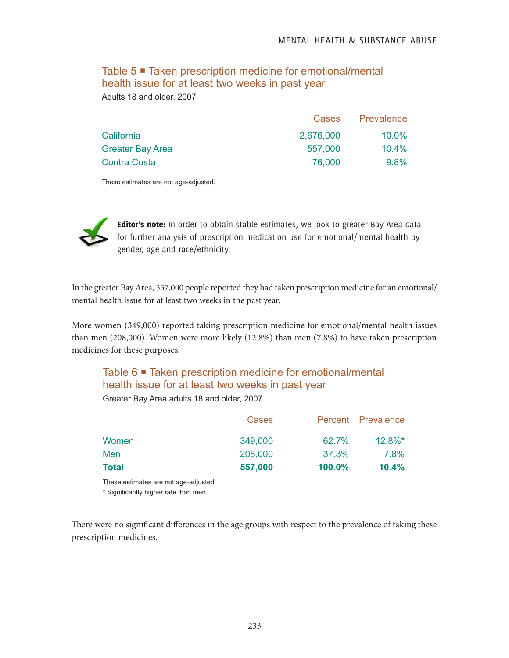### Table 5 ■ Taken prescription medicine for emotional/mental health issue for at least two weeks in past year Adults 18 and older, 2007

|                  |           | Cases Prevalence |
|------------------|-----------|------------------|
| California       | 2,676,000 | $10.0\%$         |
| Greater Bay Area | 557,000   | $10.4\%$         |
| Contra Costa     | 76,000    | $9.8\%$          |
|                  |           |                  |

These estimates are not age-adjusted.



Editor's note: In order to obtain stable estimates, we look to greater Bay Area data for further analysis of prescription medication use for emotional/mental health by gender, age and race/ethnicity.

In the greater Bay Area, 557,000 people reported they had taken prescription medicine for an emotional/ mental health issue for at least two weeks in the past year.

More women (349,000) reported taking prescription medicine for emotional/mental health issues than men (208,000). Women were more likely (12.8%) than men (7.8%) to have taken prescription medicines for these purposes.

# Table 6 ■ Taken prescription medicine for emotional/mental health issue for at least two weeks in past year

Greater Bay Area adults 18 and older, 2007

| Total | 557,000 | $100.0\%$ | 10.4%              |
|-------|---------|-----------|--------------------|
| Men   | 208,000 | 37.3%     | 7.8%               |
| Women | 349,000 | 62.7%     | $12.8\%$ *         |
|       | Cases   |           | Percent Prevalence |

These estimates are not age-adjusted.

\* Significantly higher rate than men.

There were no significant differences in the age groups with respect to the prevalence of taking these prescription medicines.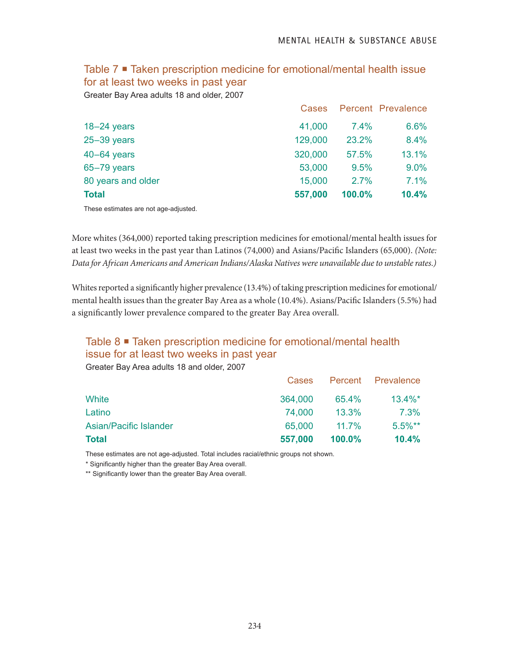#### Table 7 Taken prescription medicine for emotional/mental health issue for at least two weeks in past year

Greater Bay Area adults 18 and older, 2007

|                    | <b>Cases</b> |        | <b>Percent Prevalence</b> |
|--------------------|--------------|--------|---------------------------|
| $18 - 24$ years    | 41,000       | 7.4%   | 6.6%                      |
| $25 - 39$ years    | 129,000      | 23.2%  | 8.4%                      |
| $40-64$ years      | 320,000      | 57.5%  | 13.1%                     |
| $65 - 79$ years    | 53,000       | 9.5%   | $9.0\%$                   |
| 80 years and older | 15,000       | 2.7%   | 7.1%                      |
| <b>Total</b>       | 557,000      | 100.0% | 10.4%                     |

These estimates are not age-adjusted.

More whites (364,000) reported taking prescription medicines for emotional/mental health issues for at least two weeks in the past year than Latinos (74,000) and Asians/Pacific Islanders (65,000). *(Note: Data for African Americans and American Indians/Alaska Natives were unavailable due to unstable rates.)*

Whites reported a significantly higher prevalence (13.4%) of taking prescription medicines for emotional/ mental health issues than the greater Bay Area as a whole (10.4%). Asians/Pacific Islanders (5.5%) had a significantly lower prevalence compared to the greater Bay Area overall.

## Table 8 ■ Taken prescription medicine for emotional/mental health issue for at least two weeks in past year

Greater Bay Area adults 18 and older, 2007

| <b>Total</b>                  | 557,000      | $100.0\%$ | 10.4%              |
|-------------------------------|--------------|-----------|--------------------|
| <b>Asian/Pacific Islander</b> | 65,000       | $11.7\%$  | $5.5\%**$          |
| Latino                        | 74.000       | $13.3\%$  | 7.3%               |
| White                         | 364,000      | 65.4%     | $13.4\%$ *         |
|                               | <b>Cases</b> |           | Percent Prevalence |

These estimates are not age-adjusted. Total includes racial/ethnic groups not shown.

\* Significantly higher than the greater Bay Area overall.

\*\* Significantly lower than the greater Bay Area overall.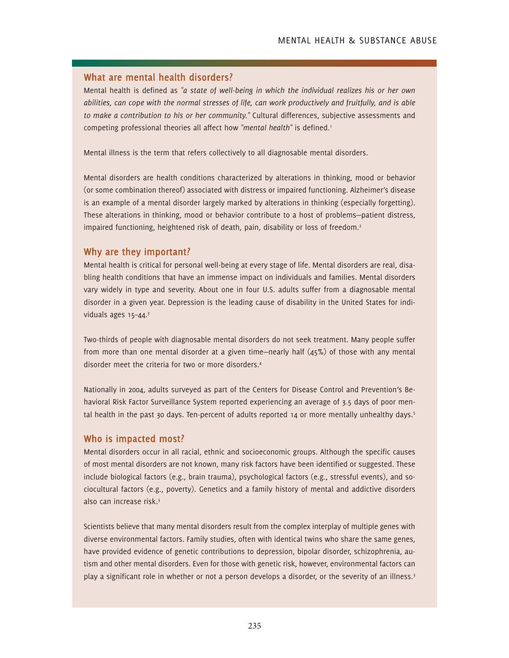#### **What are mental health disorders?**

Mental health is defined as *"a state of well-being in which the individual realizes his or her own abilities, can cope with the normal stresses of life, can work productively and fruitfully, and is able to make a contribution to his or her community."* Cultural differences, subjective assessments and competing professional theories all affect how "mental health" is defined.<sup>1</sup>

Mental illness is the term that refers collectively to all diagnosable mental disorders.

Mental disorders are health conditions characterized by alterations in thinking, mood or behavior (or some combination thereof) associated with distress or impaired functioning. Alzheimer's disease is an example of a mental disorder largely marked by alterations in thinking (especially forgetting). These alterations in thinking, mood or behavior contribute to a host of problems—patient distress, impaired functioning, heightened risk of death, pain, disability or loss of freedom.<sup>2</sup>

#### **Why are they important?**

Mental health is critical for personal well-being at every stage of life. Mental disorders are real, disabling health conditions that have an immense impact on individuals and families. Mental disorders vary widely in type and severity. About one in four U.S. adults suffer from a diagnosable mental disorder in a given year. Depression is the leading cause of disability in the United States for individuals ages 15-44.<sup>3</sup>

Two-thirds of people with diagnosable mental disorders do not seek treatment. Many people suffer from more than one mental disorder at a given time—nearly half (45%) of those with any mental disorder meet the criteria for two or more disorders.4

Nationally in 2004, adults surveyed as part of the Centers for Disease Control and Prevention's Behavioral Risk Factor Surveillance System reported experiencing an average of 3.5 days of poor mental health in the past 30 days. Ten-percent of adults reported 14 or more mentally unhealthy days.<sup>5</sup>

#### **Who is impacted most?**

Mental disorders occur in all racial, ethnic and socioeconomic groups. Although the specific causes of most mental disorders are not known, many risk factors have been identified or suggested. These include biological factors (e.g., brain trauma), psychological factors (e.g., stressful events), and sociocultural factors (e.g., poverty). Genetics and a family history of mental and addictive disorders also can increase risk.3

Scientists believe that many mental disorders result from the complex interplay of multiple genes with diverse environmental factors. Family studies, often with identical twins who share the same genes, have provided evidence of genetic contributions to depression, bipolar disorder, schizophrenia, autism and other mental disorders. Even for those with genetic risk, however, environmental factors can play a significant role in whether or not a person develops a disorder, or the severity of an illness.<sup>3</sup>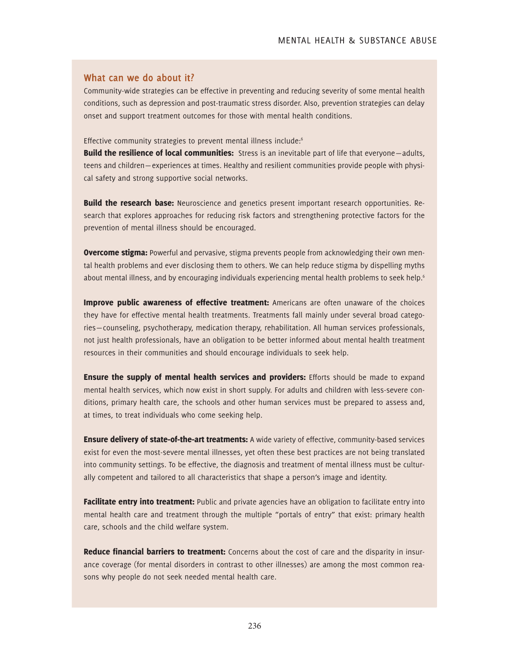#### **What can we do about it?**

Community-wide strategies can be effective in preventing and reducing severity of some mental health conditions, such as depression and post-traumatic stress disorder. Also, prevention strategies can delay onset and support treatment outcomes for those with mental health conditions.

Effective community strategies to prevent mental illness include:<sup>6</sup>

**Build the resilience of local communities:** Stress is an inevitable part of life that everyone—adults, teens and children— experiences at times. Healthy and resilient communities provide people with physical safety and strong supportive social networks.

**Build the research base:** Neuroscience and genetics present important research opportunities. Research that explores approaches for reducing risk factors and strengthening protective factors for the prevention of mental illness should be encouraged.

**Overcome stigma:** Powerful and pervasive, stigma prevents people from acknowledging their own mental health problems and ever disclosing them to others. We can help reduce stigma by dispelling myths about mental illness, and by encouraging individuals experiencing mental health problems to seek help.<sup>6</sup>

**Improve public awareness of effective treatment:** Americans are often unaware of the choices they have for effective mental health treatments. Treatments fall mainly under several broad categories—counseling, psychotherapy, medication therapy, rehabilitation. All human services professionals, not just health professionals, have an obligation to be better informed about mental health treatment resources in their communities and should encourage individuals to seek help.

**Ensure the supply of mental health services and providers:** Efforts should be made to expand mental health services, which now exist in short supply. For adults and children with less-severe conditions, primary health care, the schools and other human services must be prepared to assess and, at times, to treat individuals who come seeking help.

**Ensure delivery of state-of-the-art treatments:** A wide variety of effective, community-based services exist for even the most-severe mental illnesses, yet often these best practices are not being translated into community settings. To be effective, the diagnosis and treatment of mental illness must be culturally competent and tailored to all characteristics that shape a person's image and identity.

**Facilitate entry into treatment:** Public and private agencies have an obligation to facilitate entry into mental health care and treatment through the multiple "portals of entry" that exist: primary health care, schools and the child welfare system.

**Reduce financial barriers to treatment:** Concerns about the cost of care and the disparity in insurance coverage (for mental disorders in contrast to other illnesses) are among the most common reasons why people do not seek needed mental health care.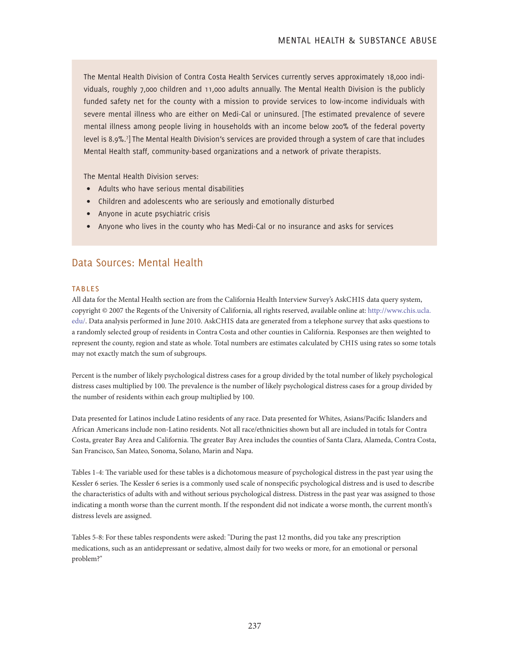The Mental Health Division of Contra Costa Health Services currently serves approximately 18,000 individuals, roughly 7,000 children and 11,000 adults annually. The Mental Health Division is the publicly funded safety net for the county with a mission to provide services to low-income individuals with severe mental illness who are either on Medi-Cal or uninsured. [The estimated prevalence of severe mental illness among people living in households with an income below 200% of the federal poverty level is 8.9%.7 ] The Mental Health Division's services are provided through a system of care that includes Mental Health staff, community-based organizations and a network of private therapists.

The Mental Health Division serves:

- Adults who have serious mental disabilities
- Children and adolescents who are seriously and emotionally disturbed
- Anyone in acute psychiatric crisis
- Anyone who lives in the county who has Medi-Cal or no insurance and asks for services

### Data Sources: Mental Health

#### **TABLES**

All data for the Mental Health section are from the California Health Interview Survey's AskCHIS data query system, copyright © 2007 the Regents of the University of California, all rights reserved, available online at: http://www.chis.ucla. edu/. Data analysis performed in June 2010. AskCHIS data are generated from a telephone survey that asks questions to a randomly selected group of residents in Contra Costa and other counties in California. Responses are then weighted to represent the county, region and state as whole. Total numbers are estimates calculated by CHIS using rates so some totals may not exactly match the sum of subgroups.

Percent is the number of likely psychological distress cases for a group divided by the total number of likely psychological distress cases multiplied by 100. The prevalence is the number of likely psychological distress cases for a group divided by the number of residents within each group multiplied by 100.

Data presented for Latinos include Latino residents of any race. Data presented for Whites, Asians/Pacific Islanders and African Americans include non-Latino residents. Not all race/ethnicities shown but all are included in totals for Contra Costa, greater Bay Area and California. The greater Bay Area includes the counties of Santa Clara, Alameda, Contra Costa, San Francisco, San Mateo, Sonoma, Solano, Marin and Napa.

Tables 1-4: The variable used for these tables is a dichotomous measure of psychological distress in the past year using the Kessler 6 series. The Kessler 6 series is a commonly used scale of nonspecific psychological distress and is used to describe the characteristics of adults with and without serious psychological distress. Distress in the past year was assigned to those indicating a month worse than the current month. If the respondent did not indicate a worse month, the current month's distress levels are assigned.

Tables 5-8: For these tables respondents were asked: "During the past 12 months, did you take any prescription medications, such as an antidepressant or sedative, almost daily for two weeks or more, for an emotional or personal problem?"